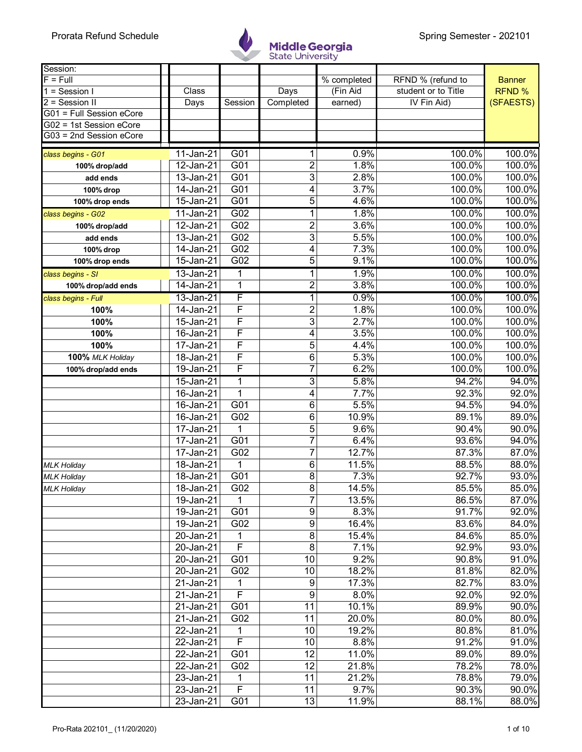

| Session:                                           |                         |                  |                 |             |                     |               |
|----------------------------------------------------|-------------------------|------------------|-----------------|-------------|---------------------|---------------|
| $F = Full$                                         |                         |                  |                 | % completed | RFND % (refund to   | <b>Banner</b> |
| $\overline{1}$ = Session I                         | Class                   |                  | Days            | (Fin Aid    | student or to Title | <b>RFND %</b> |
| $2 =$ Session II                                   | Days                    | Session          | Completed       | earned)     | IV Fin Aid)         | (SFAESTS)     |
| G01 = Full Session eCore                           |                         |                  |                 |             |                     |               |
| G02 = 1st Session eCore<br>G03 = 2nd Session eCore |                         |                  |                 |             |                     |               |
|                                                    |                         |                  |                 |             |                     |               |
| class begins - G01                                 | 11-Jan-21               | G <sub>01</sub>  | 1               | 0.9%        | 100.0%              | 100.0%        |
| 100% drop/add                                      | 12-Jan-21               | G01              | $\overline{c}$  | 1.8%        | 100.0%              | 100.0%        |
| add ends                                           | $\overline{1}3$ -Jan-21 | G01              | 3               | 2.8%        | 100.0%              | 100.0%        |
| 100% drop                                          | 14-Jan-21               | G01              | 4               | 3.7%        | 100.0%              | 100.0%        |
| 100% drop ends                                     | $\overline{15}$ -Jan-21 | G01              | 5               | 4.6%        | 100.0%              | 100.0%        |
| class begins - G02                                 | $11$ -Jan-21            | G02              | 1               | 1.8%        | 100.0%              | 100.0%        |
| 100% drop/add                                      | 12-Jan-21               | G02              | $\overline{c}$  | 3.6%        | 100.0%              | 100.0%        |
| add ends                                           | 13-Jan-21               | G02              | 3               | 5.5%        | 100.0%              | 100.0%        |
| 100% drop                                          | $\overline{1}$ 4-Jan-21 | G02              | 4               | 7.3%        | 100.0%              | 100.0%        |
| 100% drop ends                                     | 15-Jan-21               | G02              | 5               | 9.1%        | 100.0%              | 100.0%        |
| class begins - SI                                  | 13-Jan-21               | 1                | 1               | 1.9%        | 100.0%              | 100.0%        |
| 100% drop/add ends                                 | $14 - Jan-21$           | 1                | $\overline{2}$  | 3.8%        | 100.0%              | 100.0%        |
| class begins - Full                                | 13-Jan-21               | F                | 1               | 0.9%        | 100.0%              | 100.0%        |
| 100%                                               | 14-Jan-21               | F                | $\overline{c}$  | 1.8%        | 100.0%              | 100.0%        |
| 100%                                               | 15-Jan-21               | F                | 3               | 2.7%        | 100.0%              | 100.0%        |
| 100%                                               | 16-Jan-21               | F                | 4               | 3.5%        | 100.0%              | 100.0%        |
| 100%                                               | $\overline{17}$ -Jan-21 | F                | 5               | 4.4%        | 100.0%              | 100.0%        |
| 100% MLK Holiday                                   | 18-Jan-21               | F                | $\overline{6}$  | 5.3%        | 100.0%              | 100.0%        |
| 100% drop/add ends                                 | $\overline{19}$ -Jan-21 | F                | $\overline{7}$  | 6.2%        | 100.0%              | 100.0%        |
|                                                    | 15-Jan-21               | 1                | $\overline{3}$  | 5.8%        | 94.2%               | 94.0%         |
|                                                    | 16-Jan-21               | 1                | 4               | 7.7%        | 92.3%               | 92.0%         |
|                                                    | $\overline{16}$ -Jan-21 | G01              | 6               | 5.5%        | 94.5%               | 94.0%         |
|                                                    | 16-Jan-21               | G02              | 6               | 10.9%       | 89.1%               | 89.0%         |
|                                                    | $\overline{17}$ -Jan-21 | 1                | 5               | 9.6%        | 90.4%               | 90.0%         |
|                                                    | 17-Jan-21               | $\overline{G01}$ | $\overline{7}$  | 6.4%        | 93.6%               | 94.0%         |
|                                                    | 17-Jan-21               | G02              | 7               | 12.7%       | 87.3%               | 87.0%         |
| <b>MLK Holiday</b>                                 | 18-Jan-21               | 1                | 6               | 11.5%       | 88.5%               | 88.0%         |
| <b>MLK Holiday</b>                                 | $\overline{18}$ -Jan-21 | G01              | 8               | 7.3%        | 92.7%               | 93.0%         |
| <b>MLK Holiday</b>                                 | 18-Jan-21               | G02              | 8               | 14.5%       | 85.5%               | 85.0%         |
|                                                    | 19-Jan-21               | 1                | 7               | 13.5%       | 86.5%               | 87.0%         |
|                                                    | 19-Jan-21               | G01              | 9               | 8.3%        | 91.7%               | 92.0%         |
|                                                    | 19-Jan-21               | G02              | $\overline{9}$  | 16.4%       | 83.6%               | 84.0%         |
|                                                    | 20-Jan-21               | 1                | 8               | 15.4%       | 84.6%               | 85.0%         |
|                                                    | 20-Jan-21               | F                | $\bf 8$         | 7.1%        | 92.9%               | 93.0%         |
|                                                    | 20-Jan-21               | G01              | 10              | 9.2%        | 90.8%               | 91.0%         |
|                                                    | 20-Jan-21               | G02              | 10              | 18.2%       | 81.8%               | 82.0%         |
|                                                    | 21-Jan-21               | 1                | 9               | 17.3%       | 82.7%               | 83.0%         |
|                                                    | 21-Jan-21               | $\overline{F}$   | 9               | 8.0%        | 92.0%               | 92.0%         |
|                                                    | 21-Jan-21               | G01              | 11              | 10.1%       | 89.9%               | 90.0%         |
|                                                    | 21-Jan-21               | G <sub>02</sub>  | 11              | 20.0%       | 80.0%               | 80.0%         |
|                                                    | 22-Jan-21               | 1                | 10              | 19.2%       | 80.8%               | 81.0%         |
|                                                    | 22-Jan-21               | $\overline{F}$   | 10              | 8.8%        | 91.2%               | 91.0%         |
|                                                    | 22-Jan-21               | G01              | $\overline{12}$ | 11.0%       | 89.0%               | 89.0%         |
|                                                    | 22-Jan-21               | G02              | 12              | 21.8%       | 78.2%               | 78.0%         |
|                                                    | 23-Jan-21               | 1                | 11              | 21.2%       | 78.8%               | 79.0%         |
|                                                    | 23-Jan-21               | F                | 11              | 9.7%        | 90.3%               | 90.0%         |
|                                                    | 23-Jan-21               | G01              | 13              | 11.9%       | 88.1%               | 88.0%         |
|                                                    |                         |                  |                 |             |                     |               |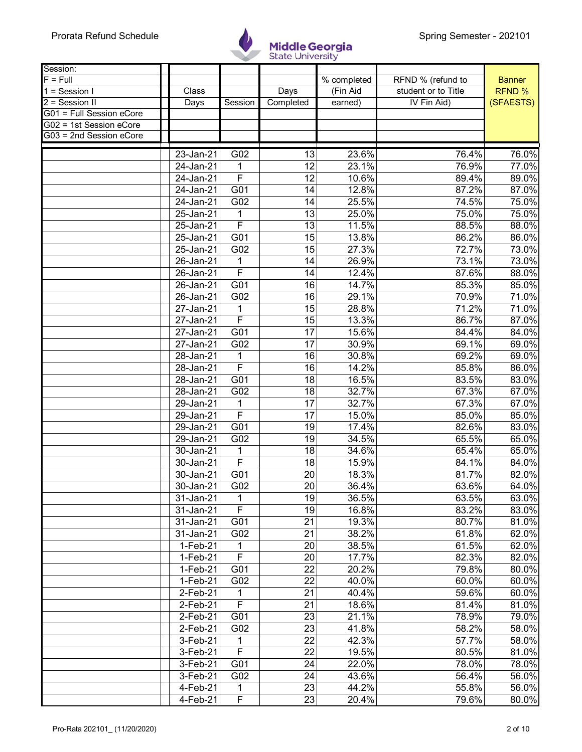

| Session:                 |                         |                  |                 |             |                     |               |
|--------------------------|-------------------------|------------------|-----------------|-------------|---------------------|---------------|
| $F = Full$               |                         |                  |                 | % completed | RFND % (refund to   | <b>Banner</b> |
| $1 =$ Session I          | Class                   |                  | Days            | (Fin Aid    | student or to Title | RFND %        |
| 2 = Session II           | Days                    | Session          | Completed       | earned)     | IV Fin Aid)         | (SFAESTS)     |
| G01 = Full Session eCore |                         |                  |                 |             |                     |               |
| G02 = 1st Session eCore  |                         |                  |                 |             |                     |               |
| G03 = 2nd Session eCore  |                         |                  |                 |             |                     |               |
|                          | 23-Jan-21               | G02              | 13              | 23.6%       | 76.4%               | 76.0%         |
|                          | $\overline{2}$ 4-Jan-21 | 1                | 12              | 23.1%       | 76.9%               | 77.0%         |
|                          | 24-Jan-21               | F                | 12              | 10.6%       | 89.4%               | 89.0%         |
|                          | $\overline{24}$ -Jan-21 | $\overline{G01}$ | 14              | 12.8%       | 87.2%               | 87.0%         |
|                          | 24-Jan-21               | G02              | 14              | 25.5%       | 74.5%               | 75.0%         |
|                          | 25-Jan-21               | 1                | 13              | 25.0%       | 75.0%               | 75.0%         |
|                          | 25-Jan-21               | F                | 13              | 11.5%       | 88.5%               | 88.0%         |
|                          | 25-Jan-21               | $\overline{G01}$ | $\overline{15}$ | 13.8%       | 86.2%               | 86.0%         |
|                          | 25-Jan-21               | G02              | 15              | 27.3%       | 72.7%               | 73.0%         |
|                          | 26-Jan-21               | 1                | 14              | 26.9%       | 73.1%               | 73.0%         |
|                          | 26-Jan-21               | F                | 14              | 12.4%       | 87.6%               | 88.0%         |
|                          | 26-Jan-21               | G01              | 16              | 14.7%       | 85.3%               | 85.0%         |
|                          | 26-Jan-21               | G02              | 16              | 29.1%       | 70.9%               | 71.0%         |
|                          | $\overline{27}$ -Jan-21 |                  | 15              | 28.8%       | 71.2%               | 71.0%         |
|                          | $27 - Jan-21$           | F                | 15              | 13.3%       | 86.7%               | 87.0%         |
|                          | 27-Jan-21               | G01              | 17              | 15.6%       | 84.4%               | 84.0%         |
|                          | 27-Jan-21               | G02              | 17              | 30.9%       | 69.1%               | 69.0%         |
|                          | 28-Jan-21               | 1                | 16              | 30.8%       | 69.2%               | 69.0%         |
|                          | 28-Jan-21               | F                | 16              | 14.2%       | 85.8%               | 86.0%         |
|                          | 28-Jan-21               | G01              | 18              | 16.5%       | 83.5%               | 83.0%         |
|                          | 28-Jan-21               | G02              | 18              | 32.7%       | 67.3%               | 67.0%         |
|                          | $29 - Jan-21$           | 1                | $\overline{17}$ | 32.7%       | 67.3%               | 67.0%         |
|                          | 29-Jan-21               | F                | 17              | 15.0%       | 85.0%               | 85.0%         |
|                          | 29-Jan-21               | G01              | 19              | 17.4%       | 82.6%               | 83.0%         |
|                          | 29-Jan-21               | G02              | 19              | 34.5%       | 65.5%               | 65.0%         |
|                          | 30-Jan-21               | 1                | 18              | 34.6%       | 65.4%               | 65.0%         |
|                          | $30 - Jan-21$           | F                | 18              | 15.9%       | 84.1%               | 84.0%         |
|                          | 30-Jan-21               | G01              | 20              | 18.3%       | 81.7%               | 82.0%         |
|                          | 30-Jan-21               | G02              | 20 <sup>1</sup> | 36.4%       | 63.6%               | 64.0%         |
|                          | 31-Jan-21               | 1                | 19              | 36.5%       | 63.5%               | 63.0%         |
|                          | 31-Jan-21               | F                | 19              | 16.8%       | 83.2%               | 83.0%         |
|                          | 31-Jan-21               | G01              | 21              | 19.3%       | 80.7%               | 81.0%         |
|                          | 31-Jan-21               | G02              | $\overline{21}$ | 38.2%       | 61.8%               | 62.0%         |
|                          | $1-Feb-21$              | 1                | 20              | 38.5%       | 61.5%               | 62.0%         |
|                          | 1-Feb-21                | F                | 20              | 17.7%       | 82.3%               | 82.0%         |
|                          | 1-Feb-21                | G01              | $\overline{22}$ | 20.2%       | 79.8%               | 80.0%         |
|                          | 1-Feb-21                | G02              | 22              | 40.0%       | 60.0%               | 60.0%         |
|                          | 2-Feb-21                | 1                | 21              | 40.4%       | 59.6%               | 60.0%         |
|                          | 2-Feb-21                | F                | 21              | 18.6%       | 81.4%               | 81.0%         |
|                          | 2-Feb-21                | G01              | 23              | 21.1%       | 78.9%               | 79.0%         |
|                          | 2-Feb-21                | G02              | 23              | 41.8%       | 58.2%               | 58.0%         |
|                          | 3-Feb-21                | 1                | 22              | 42.3%       | 57.7%               | 58.0%         |
|                          | 3-Feb-21                | $\overline{F}$   | 22              | 19.5%       | 80.5%               | 81.0%         |
|                          | 3-Feb-21                | G01              | 24              | 22.0%       | 78.0%               | 78.0%         |
|                          | 3-Feb-21                | G02              | 24              | 43.6%       | 56.4%               | 56.0%         |
|                          | 4-Feb-21                | 1                | 23              | 44.2%       | 55.8%               | 56.0%         |
|                          | 4-Feb-21                | F                | 23              | 20.4%       | 79.6%               | 80.0%         |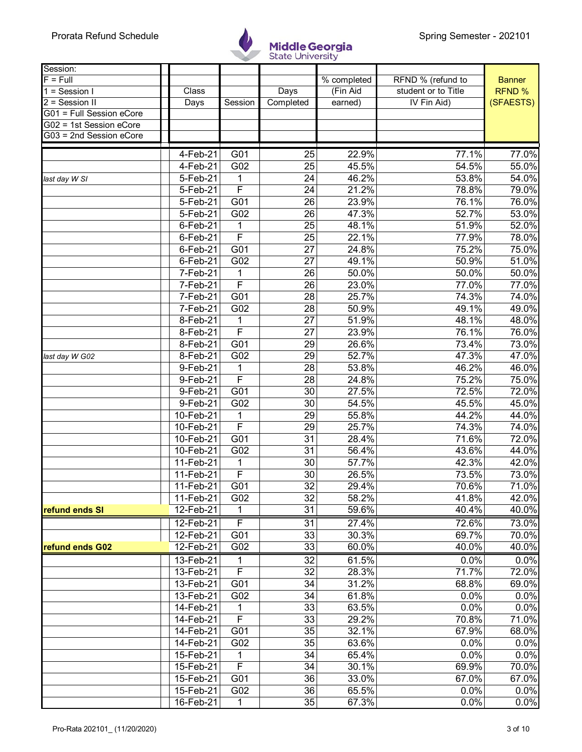

| Session:                 |             |                         |                 |             |                     |               |
|--------------------------|-------------|-------------------------|-----------------|-------------|---------------------|---------------|
| $F = Full$               |             |                         |                 | % completed | RFND % (refund to   | <b>Banner</b> |
| $1 =$ Session I          | Class       |                         | Days            | (Fin Aid    | student or to Title | <b>RFND %</b> |
| 2 = Session II           | Days        | Session                 | Completed       | earned)     | IV Fin Aid)         | (SFAESTS)     |
| G01 = Full Session eCore |             |                         |                 |             |                     |               |
| G02 = 1st Session eCore  |             |                         |                 |             |                     |               |
| G03 = 2nd Session eCore  |             |                         |                 |             |                     |               |
|                          | 4-Feb-21    | G01                     | 25              | 22.9%       | 77.1%               | 77.0%         |
|                          | 4-Feb-21    | G02                     | 25              | 45.5%       | 54.5%               | 55.0%         |
| last day W SI            | 5-Feb-21    | 1                       | 24              | 46.2%       | 53.8%               | 54.0%         |
|                          | 5-Feb-21    | F                       | $\overline{24}$ | 21.2%       | 78.8%               | 79.0%         |
|                          | 5-Feb-21    | G01                     | 26              | 23.9%       | 76.1%               | 76.0%         |
|                          | 5-Feb-21    | G02                     | 26              | 47.3%       | 52.7%               | 53.0%         |
|                          | 6-Feb-21    | 1                       | 25              | 48.1%       | 51.9%               | 52.0%         |
|                          | 6-Feb-21    | F                       | $\overline{25}$ | 22.1%       | 77.9%               | 78.0%         |
|                          | $6$ -Feb-21 | G01                     | 27              | 24.8%       | 75.2%               | 75.0%         |
|                          | $6$ -Feb-21 | G02                     | 27              | 49.1%       | 50.9%               | 51.0%         |
|                          | 7-Feb-21    | 1                       | $\overline{26}$ | 50.0%       | 50.0%               | 50.0%         |
|                          | 7-Feb-21    | $\mathsf{F}$            | 26              | 23.0%       | 77.0%               | 77.0%         |
|                          | 7-Feb-21    | G01                     | 28              | 25.7%       | 74.3%               | 74.0%         |
|                          | 7-Feb-21    | G02                     | 28              | 50.9%       | 49.1%               | 49.0%         |
|                          | 8-Feb-21    | 1                       | $\overline{27}$ | 51.9%       | 48.1%               | 48.0%         |
|                          | 8-Feb-21    | $\overline{F}$          | 27              | 23.9%       | 76.1%               | 76.0%         |
|                          | 8-Feb-21    | G01                     | 29              | 26.6%       | 73.4%               | 73.0%         |
| last day W G02           | 8-Feb-21    | G02                     | $\overline{29}$ | 52.7%       | 47.3%               | 47.0%         |
|                          | 9-Feb-21    |                         | 28              | 53.8%       | 46.2%               | 46.0%         |
|                          | 9-Feb-21    | $\overline{\mathsf{F}}$ | 28              | 24.8%       | 75.2%               | 75.0%         |
|                          | 9-Feb-21    | G01                     | 30              | 27.5%       | 72.5%               | 72.0%         |
|                          | 9-Feb-21    | G02                     | $\overline{30}$ | 54.5%       | 45.5%               | 45.0%         |
|                          | 10-Feb-21   | 1                       | 29              | 55.8%       | 44.2%               | 44.0%         |
|                          | 10-Feb-21   | F                       | 29              | 25.7%       | 74.3%               | 74.0%         |
|                          | 10-Feb-21   | G01                     | 31              | 28.4%       | 71.6%               | 72.0%         |
|                          | 10-Feb-21   | G02                     | 31              | 56.4%       | 43.6%               | 44.0%         |
|                          | 11-Feb-21   | $\mathbf{1}$            | 30              | 57.7%       | 42.3%               | 42.0%         |
|                          | 11-Feb-21   | F                       | 30              | 26.5%       | 73.5%               | 73.0%         |
|                          | 11-Feb-21   | G <sub>01</sub>         | 32              | 29.4%       | 70.6%               | 71.0%         |
|                          | 11-Feb-21   | G02                     | 32              | 58.2%       | 41.8%               | 42.0%         |
| refund ends SI           | 12-Feb-21   |                         | 31              | 59.6%       | 40.4%               | 40.0%         |
|                          | 12-Feb-21   | F                       | 31              | 27.4%       | 72.6%               | 73.0%         |
|                          | 12-Feb-21   | G01                     | $\overline{33}$ | 30.3%       | 69.7%               | 70.0%         |
| refund ends G02          | 12-Feb-21   | G02                     | 33              | 60.0%       | 40.0%               | 40.0%         |
|                          | 13-Feb-21   | 1                       | 32              | 61.5%       | 0.0%                | 0.0%          |
|                          | 13-Feb-21   | F                       | 32              | 28.3%       | 71.7%               | 72.0%         |
|                          | 13-Feb-21   | G01                     | 34              | 31.2%       | 68.8%               | 69.0%         |
|                          | 13-Feb-21   | G02                     | 34              | 61.8%       | 0.0%                | 0.0%          |
|                          | 14-Feb-21   | 1                       | 33              | 63.5%       | 0.0%                | 0.0%          |
|                          | 14-Feb-21   | F                       | 33              | 29.2%       | 70.8%               | 71.0%         |
|                          | 14-Feb-21   | G01                     | $\overline{35}$ | 32.1%       | 67.9%               | 68.0%         |
|                          | 14-Feb-21   | G02                     | 35              | 63.6%       | 0.0%                | 0.0%          |
|                          | 15-Feb-21   | 1                       | 34              | 65.4%       | 0.0%                | 0.0%          |
|                          | 15-Feb-21   | F                       | 34              | 30.1%       | 69.9%               | 70.0%         |
|                          | 15-Feb-21   | G01                     | 36              | 33.0%       | 67.0%               | 67.0%         |
|                          | 15-Feb-21   | G02                     | 36              | 65.5%       | 0.0%                | 0.0%          |
|                          | 16-Feb-21   | $\mathbf{1}$            | 35              | 67.3%       | 0.0%                | 0.0%          |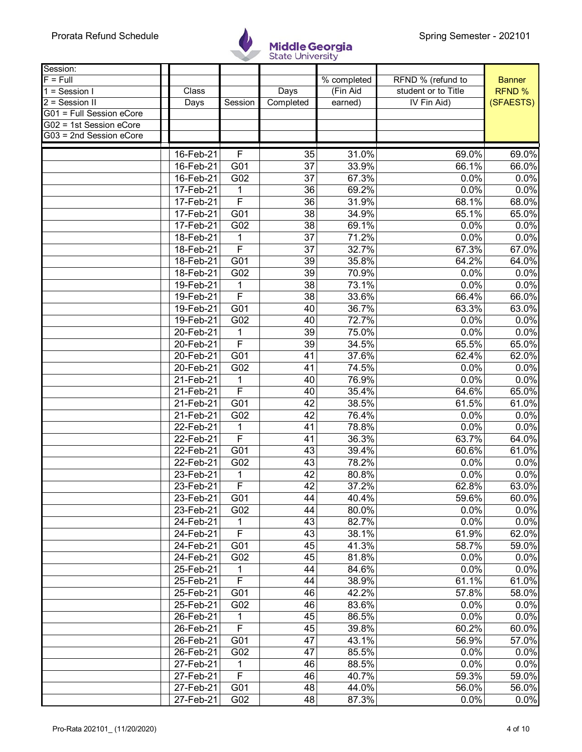

| Session:                 |                        |                         |                 |                |                     |                |
|--------------------------|------------------------|-------------------------|-----------------|----------------|---------------------|----------------|
| $F = Full$               |                        |                         |                 | % completed    | RFND % (refund to   | <b>Banner</b>  |
| $1 =$ Session I          | Class                  |                         | Days            | (Fin Aid       | student or to Title | <b>RFND %</b>  |
| 2 = Session II           | Days                   | Session                 | Completed       | earned)        | IV Fin Aid)         | (SFAESTS)      |
| G01 = Full Session eCore |                        |                         |                 |                |                     |                |
| G02 = 1st Session eCore  |                        |                         |                 |                |                     |                |
| G03 = 2nd Session eCore  |                        |                         |                 |                |                     |                |
|                          | 16-Feb-21              | F                       | 35              | 31.0%          | 69.0%               | 69.0%          |
|                          | $16$ -Feb-21           | G01                     | 37              | 33.9%          | 66.1%               | 66.0%          |
|                          | 16-Feb-21              | G02                     | 37              | 67.3%          | 0.0%                | 0.0%           |
|                          | 17-Feb-21              | 1                       | 36              | 69.2%          | 0.0%                | 0.0%           |
|                          | 17-Feb-21              | $\overline{\mathsf{F}}$ | 36              | 31.9%          | 68.1%               | 68.0%          |
|                          | 17-Feb-21              | G01                     | 38              | 34.9%          | 65.1%               | 65.0%          |
|                          | 17-Feb-21              | G02                     | 38              | 69.1%          | 0.0%                | 0.0%           |
|                          | 18-Feb-21              | 1                       | 37              | 71.2%          | 0.0%                | 0.0%           |
|                          | 18-Feb-21              | F                       | 37              | 32.7%          | 67.3%               | 67.0%          |
|                          | 18-Feb-21              | G01                     | 39              | 35.8%          | 64.2%               | 64.0%          |
|                          | 18-Feb-21              | G02                     | $\overline{39}$ | 70.9%          | 0.0%                | 0.0%           |
|                          | 19-Feb-21              | 1                       | 38              | 73.1%          | 0.0%                | 0.0%           |
|                          | 19-Feb-21              | $\mathsf{F}$            | 38              | 33.6%          | 66.4%               | 66.0%          |
|                          | 19-Feb-21              | G01                     | 40              | 36.7%          | 63.3%               | 63.0%          |
|                          | 19-Feb-21              | G02                     | 40              | 72.7%          | 0.0%                | 0.0%           |
|                          | 20-Feb-21              | 1                       | 39              | 75.0%          | 0.0%                | 0.0%           |
|                          | 20-Feb-21              | $\overline{\mathsf{F}}$ | 39              | 34.5%          | 65.5%               | 65.0%          |
|                          | 20-Feb-21              | $\overline{G01}$        | $\overline{41}$ | 37.6%          | 62.4%               | 62.0%          |
|                          | 20-Feb-21              | G02                     | 41              | 74.5%          | 0.0%                | 0.0%           |
|                          | 21-Feb-21              | 1                       | 40              | 76.9%          | 0.0%                | 0.0%           |
|                          | 21-Feb-21              | F                       | 40              | 35.4%          | 64.6%               | 65.0%          |
|                          | 21-Feb-21              | G01                     | 42              | 38.5%          | 61.5%               | 61.0%          |
|                          | 21-Feb-21              | G02                     | 42              | 76.4%          | 0.0%                | 0.0%           |
|                          | 22-Feb-21              | 1                       | 41              | 78.8%          | 0.0%                | 0.0%           |
|                          | 22-Feb-21              | F                       | 41              | 36.3%          | 63.7%               | 64.0%          |
|                          | 22-Feb-21              | G01                     | 43              | 39.4%          | 60.6%               | 61.0%          |
|                          | 22-Feb-21              | G02                     | 43              | 78.2%          | 0.0%                | 0.0%           |
|                          | 23-Feb-21              | $\mathbf 1$             | 42              | 80.8%          | 0.0%                | 0.0%           |
|                          | $23$ -Feb-21           | $\overline{F}$          | 42              | 37.2%          | 62.8%               | 63.0%          |
|                          | 23-Feb-21              | G01                     | 44              | 40.4%          | 59.6%               | 60.0%          |
|                          | 23-Feb-21              | G02                     | 44              | 80.0%          | 0.0%                | 0.0%           |
|                          | 24-Feb-21              | 1                       | 43              | 82.7%          | 0.0%                | 0.0%           |
|                          | 24-Feb-21              | F                       | 43              | 38.1%          | 61.9%               | 62.0%          |
|                          | 24-Feb-21              | G01                     | 45              | 41.3%          | 58.7%               | 59.0%          |
|                          | 24-Feb-21              | G02                     | 45              | 81.8%          | 0.0%                | 0.0%           |
|                          | 25-Feb-21              | 1                       | 44              | 84.6%          | 0.0%                | 0.0%           |
|                          | 25-Feb-21              | F                       | 44              | 38.9%          | 61.1%               | 61.0%          |
|                          | 25-Feb-21              | G01                     | 46              | 42.2%          | 57.8%               | 58.0%          |
|                          | 25-Feb-21              | G02                     | 46              | 83.6%<br>86.5% | 0.0%<br>0.0%        | 0.0%           |
|                          | 26-Feb-21              | $\mathbf 1$<br>F        | 45              |                |                     | 0.0%           |
|                          | 26-Feb-21<br>26-Feb-21 | G01                     | 45<br>47        | 39.8%<br>43.1% | 60.2%<br>56.9%      | 60.0%<br>57.0% |
|                          | 26-Feb-21              | G02                     | 47              | 85.5%          | 0.0%                | 0.0%           |
|                          | 27-Feb-21              | 1                       | 46              | 88.5%          | 0.0%                | 0.0%           |
|                          | 27-Feb-21              | F                       | 46              | 40.7%          | 59.3%               | 59.0%          |
|                          | 27-Feb-21              | G01                     | 48              | 44.0%          | 56.0%               | 56.0%          |
|                          | 27-Feb-21              | G02                     | 48              | 87.3%          | 0.0%                | 0.0%           |
|                          |                        |                         |                 |                |                     |                |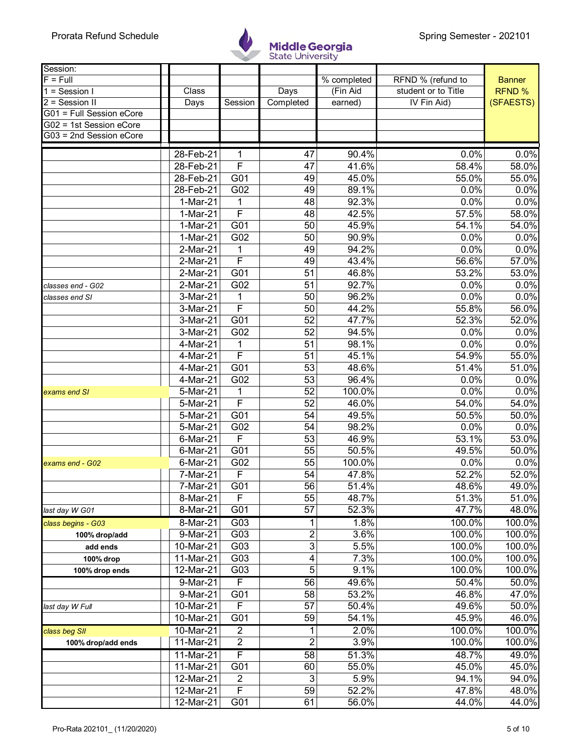

| Session:                          |           |                         |                           |                     |                                          |               |
|-----------------------------------|-----------|-------------------------|---------------------------|---------------------|------------------------------------------|---------------|
| $F = Full$                        |           |                         |                           | % completed         | RFND % (refund to<br>student or to Title | <b>Banner</b> |
| $1 =$ Session I<br>2 = Session II | Class     | Session                 | Days<br>Completed         | (Fin Aid<br>earned) | IV Fin Aid)                              | <b>RFND %</b> |
| G01 = Full Session eCore          | Days      |                         |                           |                     |                                          | (SFAESTS)     |
| G02 = 1st Session eCore           |           |                         |                           |                     |                                          |               |
| G03 = 2nd Session eCore           |           |                         |                           |                     |                                          |               |
|                                   |           |                         |                           |                     |                                          |               |
|                                   | 28-Feb-21 | 1                       | 47                        | 90.4%               | 0.0%                                     | 0.0%          |
|                                   | 28-Feb-21 | $\overline{F}$          | 47                        | 41.6%               | 58.4%                                    | 58.0%         |
|                                   | 28-Feb-21 | G01                     | 49                        | 45.0%               | 55.0%                                    | 55.0%         |
|                                   | 28-Feb-21 | G02                     | 49                        | 89.1%               | 0.0%                                     | 0.0%          |
|                                   | 1-Mar-21  | 1                       | 48                        | 92.3%               | 0.0%                                     | 0.0%          |
|                                   | 1-Mar-21  | F                       | 48                        | 42.5%               | 57.5%                                    | 58.0%         |
|                                   | 1-Mar-21  | G01                     | 50                        | 45.9%               | 54.1%                                    | 54.0%         |
|                                   | 1-Mar-21  | G02                     | 50                        | 90.9%               | 0.0%                                     | 0.0%          |
|                                   | 2-Mar-21  | 1                       | 49                        | 94.2%               | 0.0%                                     | 0.0%          |
|                                   | 2-Mar-21  | F                       | 49                        | 43.4%               | 56.6%                                    | 57.0%         |
|                                   | 2-Mar-21  | G01                     | 51                        | 46.8%               | 53.2%                                    | 53.0%         |
| classes end - G02                 | 2-Mar-21  | G02                     | 51                        | 92.7%               | 0.0%                                     | 0.0%          |
| classes end SI                    | 3-Mar-21  | 1                       | 50                        | 96.2%               | 0.0%                                     | 0.0%          |
|                                   | 3-Mar-21  | $\mathsf{F}$            | 50                        | 44.2%               | 55.8%                                    | 56.0%         |
|                                   | 3-Mar-21  | $\overline{G01}$        | $\overline{52}$           | 47.7%               | 52.3%                                    | 52.0%         |
|                                   | 3-Mar-21  | G02                     | 52                        | 94.5%               | 0.0%                                     | 0.0%          |
|                                   | 4-Mar-21  | 1                       | 51                        | 98.1%               | 0.0%                                     | 0.0%          |
|                                   | 4-Mar-21  | $\overline{\mathsf{F}}$ | 51                        | 45.1%               | 54.9%                                    | 55.0%         |
|                                   | 4-Mar-21  | G01                     | 53                        | 48.6%               | 51.4%                                    | 51.0%         |
|                                   | 4-Mar-21  | G02                     | 53                        | 96.4%               | 0.0%                                     | 0.0%          |
| exams end SI                      | 5-Mar-21  |                         | $\overline{52}$           | 100.0%              | 0.0%                                     | 0.0%          |
|                                   | 5-Mar-21  | $\overline{\mathsf{F}}$ | $\overline{52}$           | 46.0%               | 54.0%                                    | 54.0%         |
|                                   | 5-Mar-21  | G01                     | 54                        | 49.5%               | 50.5%                                    | 50.0%         |
|                                   | 5-Mar-21  | G02                     | 54                        | 98.2%               | 0.0%                                     | 0.0%          |
|                                   | 6-Mar-21  | $\mathsf{F}$            | 53                        | 46.9%               | 53.1%                                    | 53.0%         |
|                                   | 6-Mar-21  | G01                     | 55                        | 50.5%               | 49.5%                                    | 50.0%         |
| exams end - G02                   | 6-Mar-21  | G02                     | 55                        | 100.0%              | 0.0%                                     | 0.0%          |
|                                   | 7-Mar-21  | $\overline{F}$          | 54                        | 47.8%               | 52.2%                                    | 52.0%         |
|                                   | 7-Mar-21  | G <sub>01</sub>         | 56                        | 51.4%               | 48.6%                                    | 49.0%         |
|                                   | 8-Mar-21  | F                       | 55                        | 48.7%               | 51.3%                                    | 51.0%         |
| last day W G01                    | 8-Mar-21  | G01                     | 57                        | 52.3%               | 47.7%                                    | 48.0%         |
| class begins - G03                | 8-Mar-21  | G03                     | 1                         | 1.8%                | 100.0%                                   | 100.0%        |
| 100% drop/add                     | 9-Mar-21  | G03                     | $\overline{2}$            | 3.6%                | 100.0%                                   | 100.0%        |
| add ends                          | 10-Mar-21 | G03                     | $\ensuremath{\mathsf{3}}$ | 5.5%                | 100.0%                                   | 100.0%        |
| 100% drop                         | 11-Mar-21 | G03                     | 4                         | 7.3%                | 100.0%                                   | 100.0%        |
| 100% drop ends                    | 12-Mar-21 | G03                     | 5                         | 9.1%                | 100.0%                                   | 100.0%        |
|                                   | 9-Mar-21  | F                       | 56                        | 49.6%               | 50.4%                                    | 50.0%         |
|                                   | 9-Mar-21  | G01                     | 58                        | 53.2%               | 46.8%                                    | 47.0%         |
| last day W Full                   | 10-Mar-21 | F                       | 57                        | 50.4%               | 49.6%                                    | 50.0%         |
|                                   | 10-Mar-21 | G01                     | 59                        | 54.1%               | 45.9%                                    | 46.0%         |
| class beg SII                     | 10-Mar-21 | $\overline{2}$          | 1                         | 2.0%                | 100.0%                                   | 100.0%        |
| 100% drop/add ends                | 11-Mar-21 | $\mathbf{2}$            | $\overline{2}$            | 3.9%                | 100.0%                                   | 100.0%        |
|                                   | 11-Mar-21 | F                       | $\overline{58}$           | 51.3%               | 48.7%                                    | 49.0%         |
|                                   | 11-Mar-21 | G01                     | 60                        | 55.0%               | 45.0%                                    | 45.0%         |
|                                   | 12-Mar-21 | $\overline{2}$          | 3                         | 5.9%                | 94.1%                                    | 94.0%         |
|                                   | 12-Mar-21 | F                       | 59                        | 52.2%               | 47.8%                                    | 48.0%         |
|                                   |           | G <sub>01</sub>         |                           |                     |                                          |               |
|                                   | 12-Mar-21 |                         | 61                        | 56.0%               | 44.0%                                    | 44.0%         |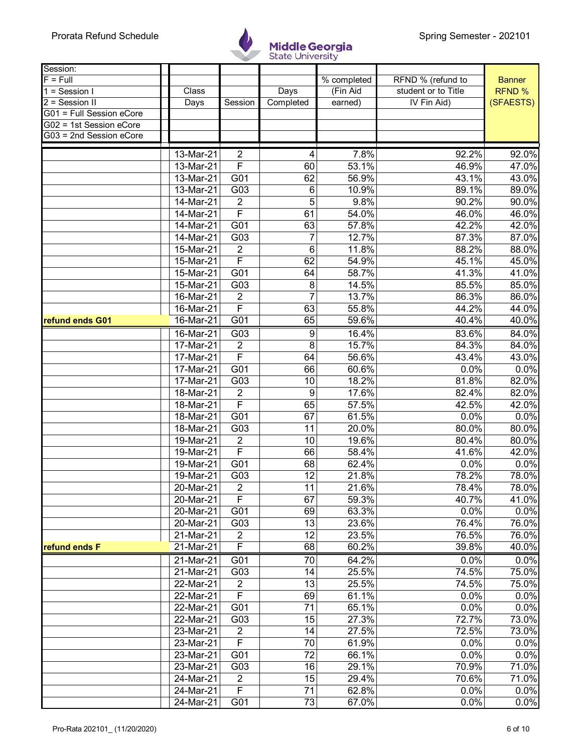

| Session:                                     |                         |                         |                 |             |                     |               |
|----------------------------------------------|-------------------------|-------------------------|-----------------|-------------|---------------------|---------------|
| $F = Full$                                   |                         |                         |                 | % completed | RFND % (refund to   | <b>Banner</b> |
| $1 =$ Session I                              | Class                   |                         | Days            | (Fin Aid    | student or to Title | <b>RFND %</b> |
| $2 =$ Session II<br>G01 = Full Session eCore | Days                    | Session                 | Completed       | earned)     | IV Fin Aid)         | (SFAESTS)     |
| G02 = 1st Session eCore                      |                         |                         |                 |             |                     |               |
| G03 = 2nd Session eCore                      |                         |                         |                 |             |                     |               |
|                                              |                         |                         |                 |             |                     |               |
|                                              | 13-Mar-21               | $\overline{2}$          | 4               | 7.8%        | 92.2%               | 92.0%         |
|                                              | 13-Mar-21               | F                       | 60              | 53.1%       | 46.9%               | 47.0%         |
|                                              | 13-Mar-21               | G01                     | 62              | 56.9%       | 43.1%               | 43.0%         |
|                                              | $13-Mar-21$             | $\overline{G03}$        | 6               | 10.9%       | 89.1%               | 89.0%         |
|                                              | 14-Mar-21               | $\overline{2}$          | 5               | 9.8%        | 90.2%               | 90.0%         |
|                                              | 14-Mar-21               | $\overline{\mathsf{F}}$ | 61              | 54.0%       | 46.0%               | 46.0%         |
|                                              | 14-Mar-21               | G01                     | 63              | 57.8%       | 42.2%               | 42.0%         |
|                                              | 14-Mar-21               | G03                     | 7               | 12.7%       | 87.3%               | 87.0%         |
|                                              | 15-Mar-21               | 2                       | $\,6$           | 11.8%       | 88.2%               | 88.0%         |
|                                              | 15-Mar-21               | F                       | 62              | 54.9%       | 45.1%               | 45.0%         |
|                                              | 15-Mar-21               | G01                     | 64              | 58.7%       | 41.3%               | 41.0%         |
|                                              | 15-Mar-21               | G03                     | 8               | 14.5%       | 85.5%               | 85.0%         |
|                                              | 16-Mar-21               | $\overline{2}$          | 7               | 13.7%       | 86.3%               | 86.0%         |
|                                              | $\overline{16}$ -Mar-21 | F                       | 63              | 55.8%       | 44.2%               | 44.0%         |
| refund ends G01                              | 16-Mar-21               | G01                     | 65              | 59.6%       | 40.4%               | 40.0%         |
|                                              | 16-Mar-21               | G03                     | 9               | 16.4%       | 83.6%               | 84.0%         |
|                                              | $\overline{17}$ -Mar-21 | 2                       | 8               | 15.7%       | 84.3%               | 84.0%         |
|                                              | $\overline{17}$ -Mar-21 | F                       | 64              | 56.6%       | 43.4%               | 43.0%         |
|                                              | 17-Mar-21               | G01                     | 66              | 60.6%       | 0.0%                | 0.0%          |
|                                              | 17-Mar-21               | G03                     | 10              | 18.2%       | 81.8%               | 82.0%         |
|                                              | 18-Mar-21               | $\overline{2}$          | 9               | 17.6%       | 82.4%               | 82.0%         |
|                                              | 18-Mar-21               | F                       | 65              | 57.5%       | 42.5%               | 42.0%         |
|                                              | $\overline{18}$ -Mar-21 | G01                     | 67              | 61.5%       | 0.0%                | 0.0%          |
|                                              | $\overline{18}$ -Mar-21 | G03                     | 11              | 20.0%       | 80.0%               | 80.0%         |
|                                              | 19-Mar-21               | $\overline{2}$          | 10              | 19.6%       | 80.4%               | 80.0%         |
|                                              | $\overline{19}$ -Mar-21 | F                       | 66              | 58.4%       | 41.6%               | 42.0%         |
|                                              | $\overline{19}$ -Mar-21 | G01                     | 68              | 62.4%       | 0.0%                | 0.0%          |
|                                              | 19-Mar-21               | G03                     | 12              | 21.8%       | 78.2%               | 78.0%         |
|                                              | 20-Mar-21               | $\sqrt{2}$              | 11              | 21.6%       | 78.4%               | 78.0%         |
|                                              | 20-Mar-21               | F                       | 67              | 59.3%       | 40.7%               | 41.0%         |
|                                              | 20-Mar-21               | G01                     | 69              | 63.3%       | 0.0%                | 0.0%          |
|                                              | 20-Mar-21               | G03                     | 13              | 23.6%       | 76.4%               | 76.0%         |
|                                              | 21-Mar-21               | $\overline{2}$          | $\overline{12}$ | 23.5%       | 76.5%               | 76.0%         |
| refund ends F                                | 21-Mar-21               | F                       | 68              | 60.2%       | 39.8%               | 40.0%         |
|                                              |                         |                         |                 |             |                     |               |
|                                              | 21-Mar-21               | G01                     | 70              | 64.2%       | 0.0%                | 0.0%          |
|                                              | 21-Mar-21               | G03                     | 14              | 25.5%       | 74.5%               | 75.0%         |
|                                              | 22-Mar-21               | $\overline{2}$          | 13              | 25.5%       | 74.5%               | 75.0%         |
|                                              | 22-Mar-21               | F                       | 69              | 61.1%       | 0.0%                | 0.0%          |
|                                              | 22-Mar-21               | G01                     | 71              | 65.1%       | 0.0%                | 0.0%          |
|                                              | 22-Mar-21               | G03                     | 15              | 27.3%       | 72.7%               | 73.0%         |
|                                              | 23-Mar-21               | $\overline{2}$          | 14              | 27.5%       | 72.5%               | 73.0%         |
|                                              | 23-Mar-21               | F                       | 70              | 61.9%       | 0.0%                | 0.0%          |
|                                              | 23-Mar-21               | G01                     | 72              | 66.1%       | 0.0%                | 0.0%          |
|                                              | 23-Mar-21               | G03                     | 16              | 29.1%       | 70.9%               | 71.0%         |
|                                              | 24-Mar-21               | $\overline{2}$          | 15              | 29.4%       | 70.6%               | 71.0%         |
|                                              | 24-Mar-21               | F                       | 71              | 62.8%       | 0.0%                | 0.0%          |
|                                              | 24-Mar-21               | G01                     | 73              | 67.0%       | 0.0%                | 0.0%          |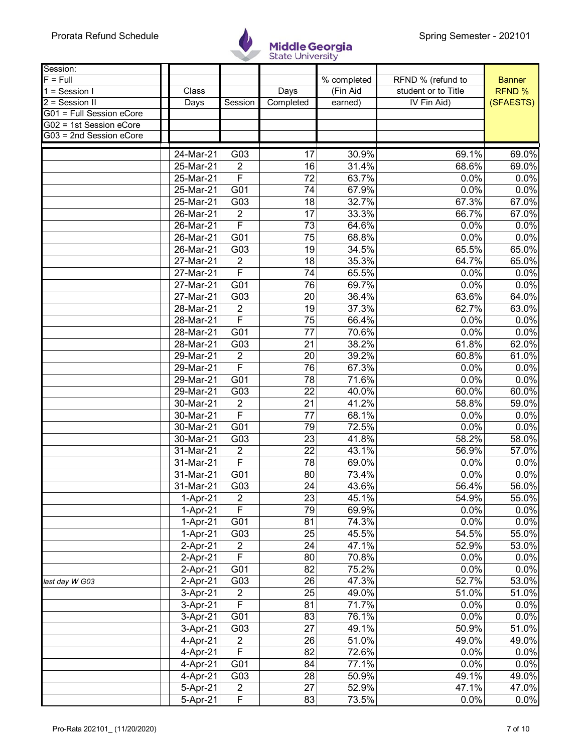

| Session:                 |              |                         |                 |             |                     |               |
|--------------------------|--------------|-------------------------|-----------------|-------------|---------------------|---------------|
| $F = Full$               |              |                         |                 | % completed | RFND % (refund to   | <b>Banner</b> |
| $1 =$ Session I          | Class        |                         | Days            | (Fin Aid    | student or to Title | RFND %        |
| 2 = Session II           | Days         | Session                 | Completed       | earned)     | IV Fin Aid)         | (SFAESTS)     |
| G01 = Full Session eCore |              |                         |                 |             |                     |               |
| G02 = 1st Session eCore  |              |                         |                 |             |                     |               |
| G03 = 2nd Session eCore  |              |                         |                 |             |                     |               |
|                          | 24-Mar-21    | G03                     | 17              | 30.9%       | 69.1%               | 69.0%         |
|                          | $25-Mar-21$  | $\overline{2}$          | 16              | 31.4%       | 68.6%               | 69.0%         |
|                          | $25-Mar-21$  | F                       | 72              | 63.7%       | 0.0%                | 0.0%          |
|                          | $25$ -Mar-21 | $\overline{G01}$        | $\overline{74}$ | 67.9%       | 0.0%                | 0.0%          |
|                          | 25-Mar-21    | G03                     | 18              | 32.7%       | 67.3%               | 67.0%         |
|                          | 26-Mar-21    | $\overline{2}$          | 17              | 33.3%       | 66.7%               | 67.0%         |
|                          | 26-Mar-21    | $\overline{\mathsf{F}}$ | 73              | 64.6%       | 0.0%                | 0.0%          |
|                          | $26$ -Mar-21 | $\overline{G01}$        | $\overline{75}$ | 68.8%       | 0.0%                | 0.0%          |
|                          | 26-Mar-21    | G03                     | 19              | 34.5%       | 65.5%               | 65.0%         |
|                          | 27-Mar-21    | $\overline{2}$          | 18              | 35.3%       | 64.7%               | 65.0%         |
|                          | 27-Mar-21    | F                       | 74              | 65.5%       | 0.0%                | 0.0%          |
|                          | 27-Mar-21    | G01                     | 76              | 69.7%       | 0.0%                | 0.0%          |
|                          | 27-Mar-21    | G03                     | 20              | 36.4%       | 63.6%               | 64.0%         |
|                          | 28-Mar-21    | $\overline{2}$          | 19              | 37.3%       | 62.7%               | 63.0%         |
|                          | 28-Mar-21    | F                       | $\overline{75}$ | 66.4%       | 0.0%                | 0.0%          |
|                          | 28-Mar-21    | G01                     | 77              | 70.6%       | 0.0%                | 0.0%          |
|                          | 28-Mar-21    | G03                     | 21              | 38.2%       | 61.8%               | 62.0%         |
|                          | 29-Mar-21    | $\overline{2}$          | $\overline{20}$ | 39.2%       | 60.8%               | 61.0%         |
|                          | 29-Mar-21    | F                       | 76              | 67.3%       | 0.0%                | 0.0%          |
|                          | 29-Mar-21    | G01                     | 78              | 71.6%       | 0.0%                | 0.0%          |
|                          | 29-Mar-21    | G03                     | 22              | 40.0%       | 60.0%               | 60.0%         |
|                          | 30-Mar-21    | $\overline{2}$          | $\overline{21}$ | 41.2%       | 58.8%               | 59.0%         |
|                          | $30-Mar-21$  | $\overline{\mathsf{F}}$ | 77              | 68.1%       | 0.0%                | 0.0%          |
|                          | 30-Mar-21    | G01                     | 79              | 72.5%       | 0.0%                | 0.0%          |
|                          | 30-Mar-21    | G03                     | 23              | 41.8%       | 58.2%               | 58.0%         |
|                          | 31-Mar-21    | $\overline{2}$          | 22              | 43.1%       | 56.9%               | 57.0%         |
|                          | $31-Mar-21$  | F                       | 78              | 69.0%       | 0.0%                | 0.0%          |
|                          | 31-Mar-21    | G01                     | 80              | 73.4%       | 0.0%                | 0.0%          |
|                          | 31-Mar-21    | G03                     | 24              | 43.6%       | 56.4%               | 56.0%         |
|                          | 1-Apr-21     | $\overline{2}$          | 23              | 45.1%       | 54.9%               | 55.0%         |
|                          | $1-Apr-21$   | F                       | 79              | 69.9%       | 0.0%                | 0.0%          |
|                          | 1-Apr-21     | G01                     | 81              | 74.3%       | 0.0%                | 0.0%          |
|                          | 1-Apr-21     | G03                     | $\overline{25}$ | 45.5%       | 54.5%               | 55.0%         |
|                          | 2-Apr-21     | $\overline{2}$          | 24              | 47.1%       | 52.9%               | 53.0%         |
|                          | $2-Apr-21$   | $\overline{F}$          | 80              | 70.8%       | 0.0%                | 0.0%          |
|                          | 2-Apr-21     | G01                     | 82              | 75.2%       | 0.0%                | 0.0%          |
| last day W G03           | 2-Apr-21     | G03                     | 26              | 47.3%       | 52.7%               | 53.0%         |
|                          | 3-Apr-21     | $\overline{2}$          | 25              | 49.0%       | 51.0%               | 51.0%         |
|                          | 3-Apr-21     | F                       | 81              | 71.7%       | 0.0%                | 0.0%          |
|                          | 3-Apr-21     | G01                     | 83              | 76.1%       | 0.0%                | 0.0%          |
|                          | 3-Apr-21     | G03                     | 27              | 49.1%       | 50.9%               | 51.0%         |
|                          | 4-Apr-21     | $\sqrt{2}$              | 26              | 51.0%       | 49.0%               | 49.0%         |
|                          | 4-Apr-21     | $\overline{F}$          | 82              | 72.6%       | 0.0%                | 0.0%          |
|                          | 4-Apr-21     | G01                     | 84              | 77.1%       | 0.0%                | 0.0%          |
|                          | 4-Apr-21     | G03                     | 28              | 50.9%       | 49.1%               | 49.0%         |
|                          | 5-Apr-21     | $\overline{2}$          | 27              | 52.9%       | 47.1%               | 47.0%         |
|                          | 5-Apr-21     | F                       | 83              | 73.5%       | 0.0%                | 0.0%          |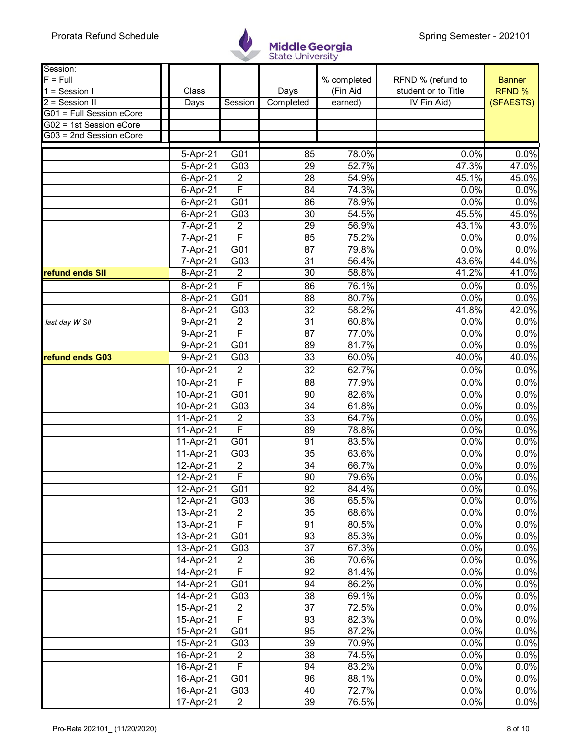

| Session:                                           |                        |                         |                       |                           |                     |               |
|----------------------------------------------------|------------------------|-------------------------|-----------------------|---------------------------|---------------------|---------------|
| $F = Full$                                         |                        |                         |                       | $\overline{\%}$ completed | RFND % (refund to   | <b>Banner</b> |
| $1 =$ Session I                                    | Class                  |                         | Days                  | (Fin Aid                  | student or to Title | RFND %        |
| 2 = Session II                                     | Days                   | Session                 | Completed             | earned)                   | IV Fin Aid)         | (SFAESTS)     |
| G01 = Full Session eCore                           |                        |                         |                       |                           |                     |               |
| G02 = 1st Session eCore<br>G03 = 2nd Session eCore |                        |                         |                       |                           |                     |               |
|                                                    |                        |                         |                       |                           |                     |               |
|                                                    | 5-Apr-21               | G01                     | 85                    | 78.0%                     | 0.0%                | 0.0%          |
|                                                    | 5-Apr-21               | G03                     | 29                    | 52.7%                     | 47.3%               | 47.0%         |
|                                                    | 6-Apr-21               | $\overline{2}$          | 28                    | 54.9%                     | 45.1%               | 45.0%         |
|                                                    | 6-Apr-21               | F                       | 84                    | 74.3%                     | 0.0%                | 0.0%          |
|                                                    | 6-Apr-21               | G01                     | 86                    | 78.9%                     | 0.0%                | 0.0%          |
|                                                    | 6-Apr-21               | G03                     | 30                    | 54.5%                     | 45.5%               | 45.0%         |
|                                                    | 7-Apr-21               | $\overline{2}$          | 29                    | 56.9%                     | 43.1%               | 43.0%         |
|                                                    | 7-Apr-21               | F                       | 85                    | 75.2%                     | 0.0%                | 0.0%          |
|                                                    | 7-Apr-21               | G01                     | 87                    | 79.8%                     | 0.0%                | 0.0%          |
|                                                    | 7-Apr-21               | G03                     | 31                    | 56.4%                     | 43.6%               | 44.0%         |
| refund ends SII                                    | 8-Apr-21               | $\overline{2}$          | 30                    | 58.8%                     | 41.2%               | 41.0%         |
|                                                    | 8-Apr-21               | F                       | 86                    | 76.1%                     | 0.0%                | 0.0%          |
|                                                    | 8-Apr-21               | G01                     | 88                    | 80.7%                     | 0.0%                | 0.0%          |
|                                                    | 8-Apr-21               | G03                     | 32                    | 58.2%                     | 41.8%               | 42.0%         |
| last day W SII                                     | 9-Apr-21               | $\overline{2}$          | $\overline{31}$       | 60.8%                     | 0.0%                | 0.0%          |
|                                                    | 9-Apr-21               | F                       | 87                    | 77.0%                     | 0.0%                | 0.0%          |
|                                                    | 9-Apr-21               | G01                     | 89                    | 81.7%                     | 0.0%                | 0.0%          |
| refund ends G03                                    | $9-Apr-21$             | G03                     | 33                    | 60.0%                     | 40.0%               | 40.0%         |
|                                                    | 10-Apr-21              | $\overline{2}$          | $\overline{32}$       | 62.7%                     | 0.0%                | 0.0%          |
|                                                    | 10-Apr-21              | F                       | 88                    | 77.9%                     | 0.0%                | 0.0%          |
|                                                    | 10-Apr-21              | G01                     | 90                    | 82.6%                     | 0.0%                | 0.0%          |
|                                                    | 10-Apr-21              | G03                     | 34                    | 61.8%                     | 0.0%                | 0.0%          |
|                                                    | 11-Apr-21              | $\overline{2}$          | 33                    | 64.7%                     | 0.0%                | 0.0%          |
|                                                    | 11-Apr-21              | $\overline{\mathsf{F}}$ | 89                    | 78.8%                     | 0.0%                | 0.0%          |
|                                                    | 11-Apr-21              | G01                     | 91                    | 83.5%                     | 0.0%                | 0.0%          |
|                                                    | 11-Apr-21              | G03                     | 35                    | 63.6%                     | 0.0%                | 0.0%          |
|                                                    | 12-Apr-21              | $\overline{2}$          | 34                    | 66.7%                     | 0.0%                | 0.0%          |
|                                                    | 12-Apr-21              | F                       | 90                    | 79.6%                     | 0.0%                | 0.0%          |
|                                                    | $12-Apr-21$            | G <sub>01</sub>         | 92                    | 84.4%                     | 0.0%                | 0.0%          |
|                                                    | 12-Apr-21              | G03                     | 36                    | 65.5%                     | 0.0%                | 0.0%          |
|                                                    | 13-Apr-21              | $\overline{c}$          | 35                    | 68.6%                     | 0.0%                | 0.0%          |
|                                                    | 13-Apr-21              | $\overline{F}$          | 91                    | 80.5%                     | 0.0%                | 0.0%          |
|                                                    | 13-Apr-21              | G01                     | 93<br>$\overline{37}$ | 85.3%                     | 0.0%                | 0.0%          |
|                                                    | 13-Apr-21              | G03                     |                       | 67.3%                     | 0.0%                | 0.0%          |
|                                                    | 14-Apr-21              | $\sqrt{2}$<br>F         | 36<br>92              | 70.6%<br>81.4%            | 0.0%<br>0.0%        | 0.0%<br>0.0%  |
|                                                    | 14-Apr-21<br>14-Apr-21 | G01                     | 94                    | 86.2%                     | 0.0%                | 0.0%          |
|                                                    | 14-Apr-21              | G03                     | 38                    | 69.1%                     | 0.0%                | 0.0%          |
|                                                    | 15-Apr-21              | $\overline{2}$          | 37                    | 72.5%                     | 0.0%                | 0.0%          |
|                                                    | 15-Apr-21              | $\overline{\mathsf{F}}$ | 93                    | 82.3%                     | 0.0%                | 0.0%          |
|                                                    | 15-Apr-21              | G01                     | 95                    | 87.2%                     | 0.0%                | 0.0%          |
|                                                    | 15-Apr-21              | G03                     | 39                    | 70.9%                     | 0.0%                | 0.0%          |
|                                                    | 16-Apr-21              | $\overline{c}$          | 38                    | 74.5%                     | 0.0%                | 0.0%          |
|                                                    | 16-Apr-21              | $\overline{F}$          | 94                    | 83.2%                     | 0.0%                | 0.0%          |
|                                                    | 16-Apr-21              | G01                     | 96                    | 88.1%                     | 0.0%                | 0.0%          |
|                                                    | 16-Apr-21              | G03                     | 40                    | 72.7%                     | 0.0%                | 0.0%          |
|                                                    | 17-Apr-21              | $\sqrt{2}$              | 39                    | 76.5%                     | 0.0%                | 0.0%          |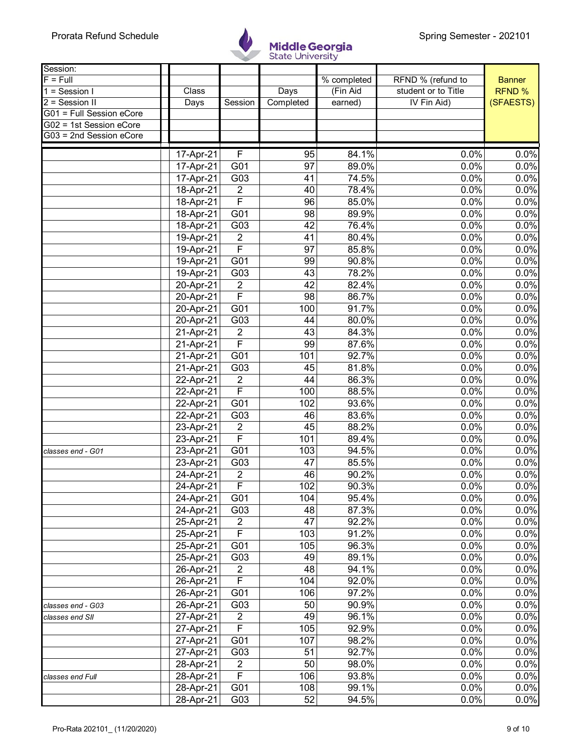

| Session:                 |           |                         |                 |                           |                     |               |
|--------------------------|-----------|-------------------------|-----------------|---------------------------|---------------------|---------------|
| $F = Full$               |           |                         |                 | $\overline{\%}$ completed | RFND % (refund to   | <b>Banner</b> |
| $1 =$ Session I          | Class     |                         | Days            | (Fin Aid                  | student or to Title | <b>RFND %</b> |
| 2 = Session II           | Days      | Session                 | Completed       | earned)                   | IV Fin Aid)         | (SFAESTS)     |
| G01 = Full Session eCore |           |                         |                 |                           |                     |               |
| G02 = 1st Session eCore  |           |                         |                 |                           |                     |               |
| G03 = 2nd Session eCore  |           |                         |                 |                           |                     |               |
|                          | 17-Apr-21 | F                       | 95              | 84.1%                     | 0.0%                | 0.0%          |
|                          | 17-Apr-21 | G01                     | 97              | 89.0%                     | 0.0%                | 0.0%          |
|                          | 17-Apr-21 | G03                     | 41              | 74.5%                     | 0.0%                | 0.0%          |
|                          | 18-Apr-21 | $\overline{2}$          | 40              | 78.4%                     | 0.0%                | 0.0%          |
|                          | 18-Apr-21 | $\overline{\mathsf{F}}$ | 96              | 85.0%                     | 0.0%                | 0.0%          |
|                          | 18-Apr-21 | G01                     | 98              | 89.9%                     | 0.0%                | 0.0%          |
|                          | 18-Apr-21 | G03                     | 42              | 76.4%                     | 0.0%                | 0.0%          |
|                          | 19-Apr-21 | $\overline{2}$          | 41              | 80.4%                     | 0.0%                | 0.0%          |
|                          | 19-Apr-21 | F                       | 97              | 85.8%                     | 0.0%                | 0.0%          |
|                          | 19-Apr-21 | G01                     | 99              | 90.8%                     | 0.0%                | 0.0%          |
|                          | 19-Apr-21 | $\overline{G03}$        | $\overline{43}$ | 78.2%                     | 0.0%                | 0.0%          |
|                          | 20-Apr-21 | $\overline{2}$          | 42              | 82.4%                     | 0.0%                | 0.0%          |
|                          | 20-Apr-21 | F                       | 98              | 86.7%                     | 0.0%                | 0.0%          |
|                          | 20-Apr-21 | G01                     | 100             | 91.7%                     | 0.0%                | 0.0%          |
|                          | 20-Apr-21 | G03                     | 44              | 80.0%                     | 0.0%                | 0.0%          |
|                          | 21-Apr-21 | $\boldsymbol{2}$        | 43              | 84.3%                     | 0.0%                | 0.0%          |
|                          | 21-Apr-21 | $\overline{\mathsf{F}}$ | 99              | 87.6%                     | 0.0%                | 0.0%          |
|                          | 21-Apr-21 | G <sub>01</sub>         | 101             | 92.7%                     | 0.0%                | 0.0%          |
|                          | 21-Apr-21 | G03                     | 45              | 81.8%                     | 0.0%                | 0.0%          |
|                          | 22-Apr-21 | $\overline{2}$          | 44              | 86.3%                     | 0.0%                | 0.0%          |
|                          | 22-Apr-21 | $\overline{\mathsf{F}}$ | 100             | 88.5%                     | 0.0%                | 0.0%          |
|                          | 22-Apr-21 | G01                     | 102             | 93.6%                     | 0.0%                | 0.0%          |
|                          | 22-Apr-21 | G03                     | 46              | 83.6%                     | 0.0%                | 0.0%          |
|                          | 23-Apr-21 | $\overline{2}$          | 45              | 88.2%                     | 0.0%                | 0.0%          |
|                          | 23-Apr-21 | F                       | 101             | 89.4%                     | 0.0%                | 0.0%          |
| classes end - G01        | 23-Apr-21 | G01                     | 103             | 94.5%                     | 0.0%                | 0.0%          |
|                          | 23-Apr-21 | G03                     | 47              | 85.5%                     | 0.0%                | 0.0%          |
|                          | 24-Apr-21 | $\overline{2}$          | 46              | 90.2%                     | 0.0%                | 0.0%          |
|                          | 24-Apr-21 | $\overline{F}$          | 102             | 90.3%                     | 0.0%                | 0.0%          |
|                          | 24-Apr-21 | G01                     | 104             | 95.4%                     | 0.0%                | 0.0%          |
|                          | 24-Apr-21 | G03                     | 48              | 87.3%                     | 0.0%                | 0.0%          |
|                          | 25-Apr-21 | $\overline{2}$          | 47              | 92.2%                     | 0.0%                | 0.0%          |
|                          | 25-Apr-21 | F                       | 103             | 91.2%                     | 0.0%                | 0.0%          |
|                          | 25-Apr-21 | G01                     | 105             | 96.3%                     | 0.0%                | 0.0%          |
|                          | 25-Apr-21 | G03                     | 49              | 89.1%                     | 0.0%                | 0.0%          |
|                          | 26-Apr-21 | $\overline{2}$          | 48              | 94.1%                     | 0.0%                | 0.0%          |
|                          | 26-Apr-21 | F                       | 104             | 92.0%                     | 0.0%                | 0.0%          |
|                          | 26-Apr-21 | G01                     | 106             | 97.2%                     | 0.0%                | 0.0%          |
| classes end - G03        | 26-Apr-21 | G03                     | 50              | 90.9%                     | 0.0%                | 0.0%          |
| classes end SII          | 27-Apr-21 | $\overline{2}$          | 49              | 96.1%                     | 0.0%                | 0.0%          |
|                          | 27-Apr-21 | $\mathsf F$             | 105             | 92.9%                     | 0.0%                | 0.0%          |
|                          | 27-Apr-21 | G01                     | 107             | 98.2%                     | 0.0%                | 0.0%          |
|                          | 27-Apr-21 | G03                     | 51              | 92.7%                     | 0.0%                | 0.0%          |
|                          | 28-Apr-21 | $\overline{2}$          | 50              | 98.0%                     | 0.0%                | 0.0%          |
| classes end Full         | 28-Apr-21 | F                       | 106             | 93.8%                     | 0.0%                | 0.0%          |
|                          | 28-Apr-21 | G01                     | 108             | 99.1%                     | 0.0%                | 0.0%          |
|                          | 28-Apr-21 | G03                     | 52              | 94.5%                     | 0.0%                | 0.0%          |